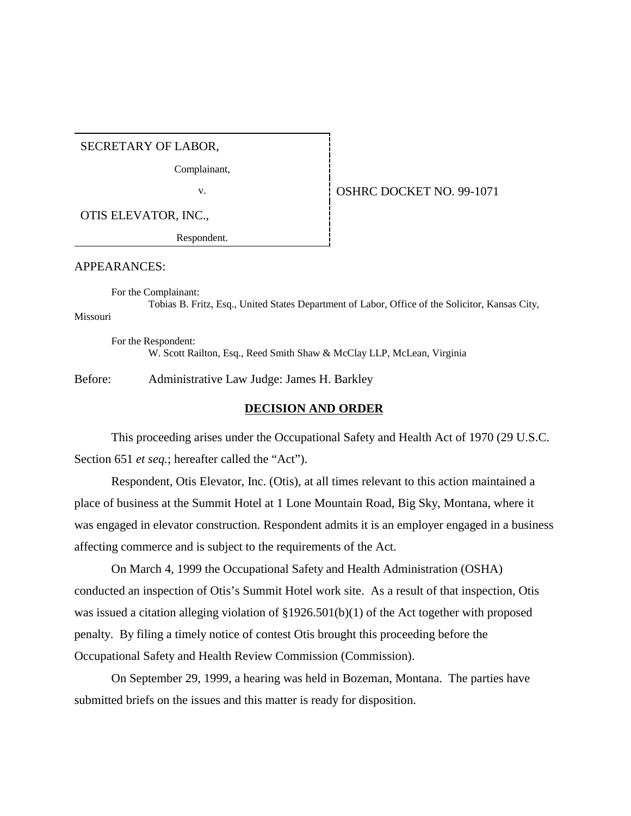SECRETARY OF LABOR,

Complainant,

OTIS ELEVATOR, INC.,

Respondent.

v. **CONFIDENT OF STARE DOCKET NO. 99-1071** 

APPEARANCES:

For the Complainant: Tobias B. Fritz, Esq., United States Department of Labor, Office of the Solicitor, Kansas City,

Missouri

For the Respondent: W. Scott Railton, Esq., Reed Smith Shaw & McClay LLP, McLean, Virginia

Before: Administrative Law Judge: James H. Barkley

## **DECISION AND ORDER**

This proceeding arises under the Occupational Safety and Health Act of 1970 (29 U.S.C. Section 651 *et seq.*; hereafter called the "Act").

Respondent, Otis Elevator, Inc. (Otis), at all times relevant to this action maintained a place of business at the Summit Hotel at 1 Lone Mountain Road, Big Sky, Montana, where it was engaged in elevator construction. Respondent admits it is an employer engaged in a business affecting commerce and is subject to the requirements of the Act.

On March 4, 1999 the Occupational Safety and Health Administration (OSHA) conducted an inspection of Otis's Summit Hotel work site. As a result of that inspection, Otis was issued a citation alleging violation of §1926.501(b)(1) of the Act together with proposed penalty. By filing a timely notice of contest Otis brought this proceeding before the Occupational Safety and Health Review Commission (Commission).

On September 29, 1999, a hearing was held in Bozeman, Montana. The parties have submitted briefs on the issues and this matter is ready for disposition.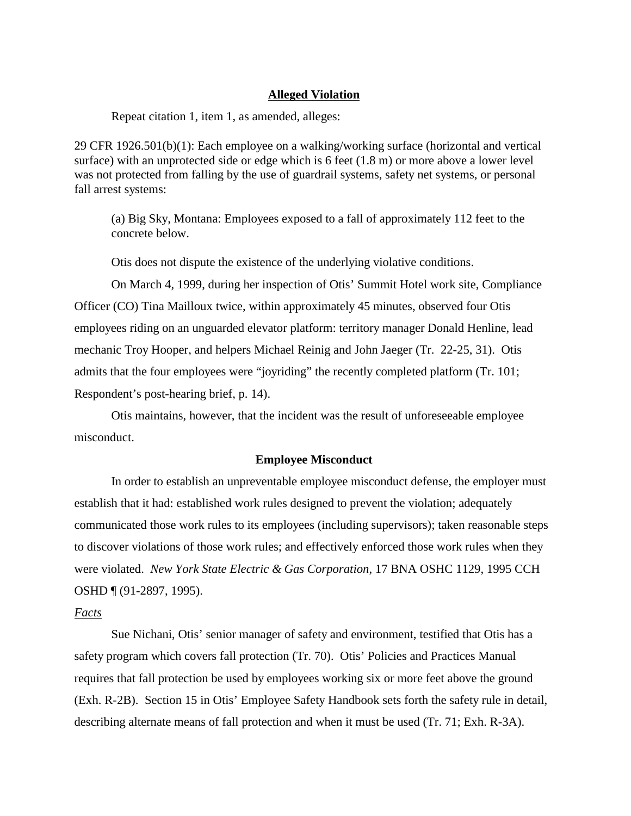#### **Alleged Violation**

Repeat citation 1, item 1, as amended, alleges:

29 CFR 1926.501(b)(1): Each employee on a walking/working surface (horizontal and vertical surface) with an unprotected side or edge which is 6 feet (1.8 m) or more above a lower level was not protected from falling by the use of guardrail systems, safety net systems, or personal fall arrest systems:

(a) Big Sky, Montana: Employees exposed to a fall of approximately 112 feet to the concrete below.

Otis does not dispute the existence of the underlying violative conditions.

On March 4, 1999, during her inspection of Otis' Summit Hotel work site, Compliance Officer (CO) Tina Mailloux twice, within approximately 45 minutes, observed four Otis employees riding on an unguarded elevator platform: territory manager Donald Henline, lead mechanic Troy Hooper, and helpers Michael Reinig and John Jaeger (Tr. 22-25, 31). Otis admits that the four employees were "joyriding" the recently completed platform (Tr. 101; Respondent's post-hearing brief, p. 14).

Otis maintains, however, that the incident was the result of unforeseeable employee misconduct.

# **Employee Misconduct**

In order to establish an unpreventable employee misconduct defense, the employer must establish that it had: established work rules designed to prevent the violation; adequately communicated those work rules to its employees (including supervisors); taken reasonable steps to discover violations of those work rules; and effectively enforced those work rules when they were violated. *New York State Electric & Gas Corporation*, 17 BNA OSHC 1129, 1995 CCH OSHD ¶ (91-2897, 1995).

#### *Facts*

Sue Nichani, Otis' senior manager of safety and environment, testified that Otis has a safety program which covers fall protection (Tr. 70). Otis' Policies and Practices Manual requires that fall protection be used by employees working six or more feet above the ground (Exh. R-2B). Section 15 in Otis' Employee Safety Handbook sets forth the safety rule in detail, describing alternate means of fall protection and when it must be used (Tr. 71; Exh. R-3A).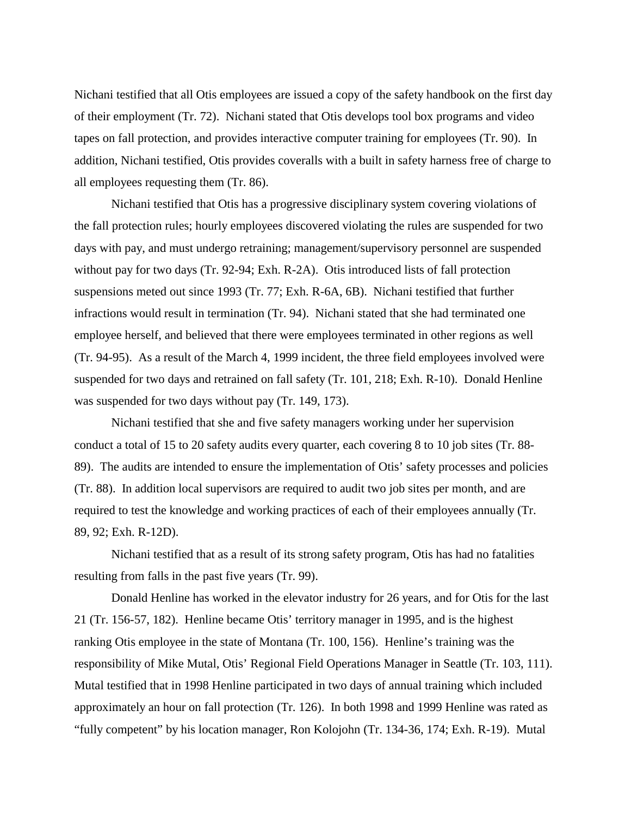Nichani testified that all Otis employees are issued a copy of the safety handbook on the first day of their employment (Tr. 72). Nichani stated that Otis develops tool box programs and video tapes on fall protection, and provides interactive computer training for employees (Tr. 90). In addition, Nichani testified, Otis provides coveralls with a built in safety harness free of charge to all employees requesting them (Tr. 86).

Nichani testified that Otis has a progressive disciplinary system covering violations of the fall protection rules; hourly employees discovered violating the rules are suspended for two days with pay, and must undergo retraining; management/supervisory personnel are suspended without pay for two days (Tr. 92-94; Exh. R-2A). Otis introduced lists of fall protection suspensions meted out since 1993 (Tr. 77; Exh. R-6A, 6B). Nichani testified that further infractions would result in termination (Tr. 94). Nichani stated that she had terminated one employee herself, and believed that there were employees terminated in other regions as well (Tr. 94-95). As a result of the March 4, 1999 incident, the three field employees involved were suspended for two days and retrained on fall safety (Tr. 101, 218; Exh. R-10). Donald Henline was suspended for two days without pay (Tr. 149, 173).

Nichani testified that she and five safety managers working under her supervision conduct a total of 15 to 20 safety audits every quarter, each covering 8 to 10 job sites (Tr. 88- 89). The audits are intended to ensure the implementation of Otis' safety processes and policies (Tr. 88). In addition local supervisors are required to audit two job sites per month, and are required to test the knowledge and working practices of each of their employees annually (Tr. 89, 92; Exh. R-12D).

Nichani testified that as a result of its strong safety program, Otis has had no fatalities resulting from falls in the past five years (Tr. 99).

 Donald Henline has worked in the elevator industry for 26 years, and for Otis for the last 21 (Tr. 156-57, 182). Henline became Otis' territory manager in 1995, and is the highest ranking Otis employee in the state of Montana (Tr. 100, 156). Henline's training was the responsibility of Mike Mutal, Otis' Regional Field Operations Manager in Seattle (Tr. 103, 111). Mutal testified that in 1998 Henline participated in two days of annual training which included approximately an hour on fall protection (Tr. 126). In both 1998 and 1999 Henline was rated as "fully competent" by his location manager, Ron Kolojohn (Tr. 134-36, 174; Exh. R-19). Mutal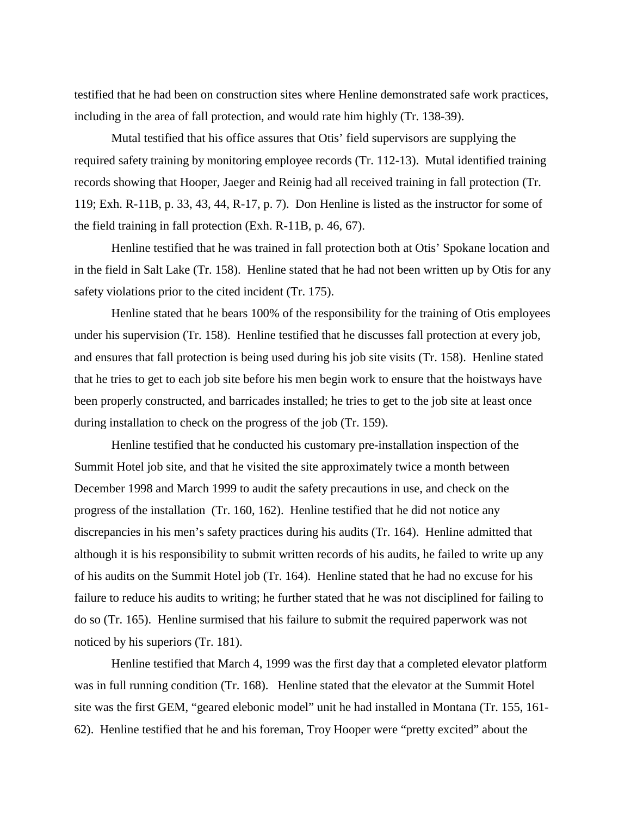testified that he had been on construction sites where Henline demonstrated safe work practices, including in the area of fall protection, and would rate him highly (Tr. 138-39).

Mutal testified that his office assures that Otis' field supervisors are supplying the required safety training by monitoring employee records (Tr. 112-13). Mutal identified training records showing that Hooper, Jaeger and Reinig had all received training in fall protection (Tr. 119; Exh. R-11B, p. 33, 43, 44, R-17, p. 7). Don Henline is listed as the instructor for some of the field training in fall protection (Exh. R-11B, p. 46, 67).

 Henline testified that he was trained in fall protection both at Otis' Spokane location and in the field in Salt Lake (Tr. 158). Henline stated that he had not been written up by Otis for any safety violations prior to the cited incident (Tr. 175).

Henline stated that he bears 100% of the responsibility for the training of Otis employees under his supervision (Tr. 158). Henline testified that he discusses fall protection at every job, and ensures that fall protection is being used during his job site visits (Tr. 158). Henline stated that he tries to get to each job site before his men begin work to ensure that the hoistways have been properly constructed, and barricades installed; he tries to get to the job site at least once during installation to check on the progress of the job (Tr. 159).

Henline testified that he conducted his customary pre-installation inspection of the Summit Hotel job site, and that he visited the site approximately twice a month between December 1998 and March 1999 to audit the safety precautions in use, and check on the progress of the installation (Tr. 160, 162). Henline testified that he did not notice any discrepancies in his men's safety practices during his audits (Tr. 164). Henline admitted that although it is his responsibility to submit written records of his audits, he failed to write up any of his audits on the Summit Hotel job (Tr. 164). Henline stated that he had no excuse for his failure to reduce his audits to writing; he further stated that he was not disciplined for failing to do so (Tr. 165). Henline surmised that his failure to submit the required paperwork was not noticed by his superiors (Tr. 181).

Henline testified that March 4, 1999 was the first day that a completed elevator platform was in full running condition (Tr. 168). Henline stated that the elevator at the Summit Hotel site was the first GEM, "geared elebonic model" unit he had installed in Montana (Tr. 155, 161- 62). Henline testified that he and his foreman, Troy Hooper were "pretty excited" about the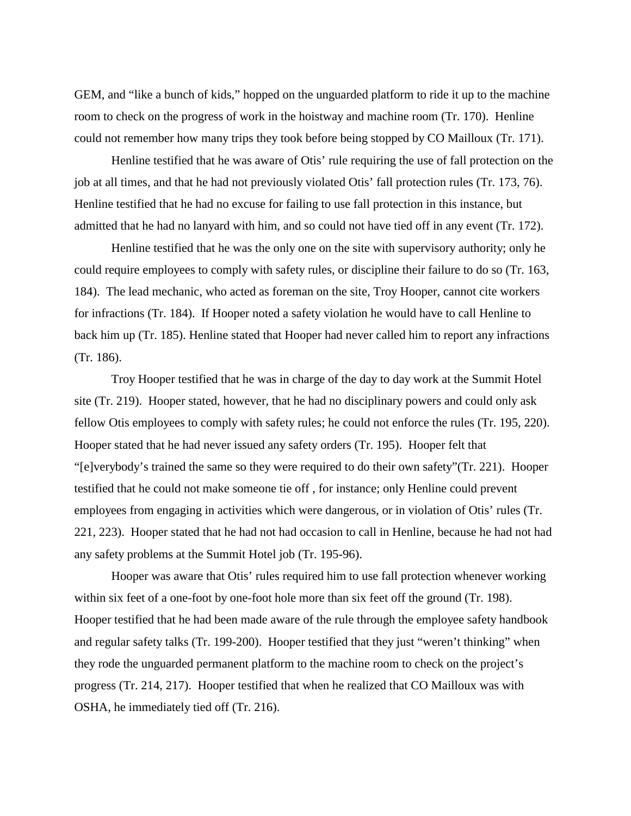GEM, and "like a bunch of kids," hopped on the unguarded platform to ride it up to the machine room to check on the progress of work in the hoistway and machine room (Tr. 170). Henline could not remember how many trips they took before being stopped by CO Mailloux (Tr. 171).

Henline testified that he was aware of Otis' rule requiring the use of fall protection on the job at all times, and that he had not previously violated Otis' fall protection rules (Tr. 173, 76). Henline testified that he had no excuse for failing to use fall protection in this instance, but admitted that he had no lanyard with him, and so could not have tied off in any event (Tr. 172).

Henline testified that he was the only one on the site with supervisory authority; only he could require employees to comply with safety rules, or discipline their failure to do so (Tr. 163, 184). The lead mechanic, who acted as foreman on the site, Troy Hooper, cannot cite workers for infractions (Tr. 184). If Hooper noted a safety violation he would have to call Henline to back him up (Tr. 185). Henline stated that Hooper had never called him to report any infractions (Tr. 186).

Troy Hooper testified that he was in charge of the day to day work at the Summit Hotel site (Tr. 219). Hooper stated, however, that he had no disciplinary powers and could only ask fellow Otis employees to comply with safety rules; he could not enforce the rules (Tr. 195, 220). Hooper stated that he had never issued any safety orders (Tr. 195). Hooper felt that "[e]verybody's trained the same so they were required to do their own safety"(Tr. 221). Hooper testified that he could not make someone tie off , for instance; only Henline could prevent employees from engaging in activities which were dangerous, or in violation of Otis' rules (Tr. 221, 223). Hooper stated that he had not had occasion to call in Henline, because he had not had any safety problems at the Summit Hotel job (Tr. 195-96).

Hooper was aware that Otis' rules required him to use fall protection whenever working within six feet of a one-foot by one-foot hole more than six feet off the ground (Tr. 198). Hooper testified that he had been made aware of the rule through the employee safety handbook and regular safety talks (Tr. 199-200). Hooper testified that they just "weren't thinking" when they rode the unguarded permanent platform to the machine room to check on the project's progress (Tr. 214, 217). Hooper testified that when he realized that CO Mailloux was with OSHA, he immediately tied off (Tr. 216).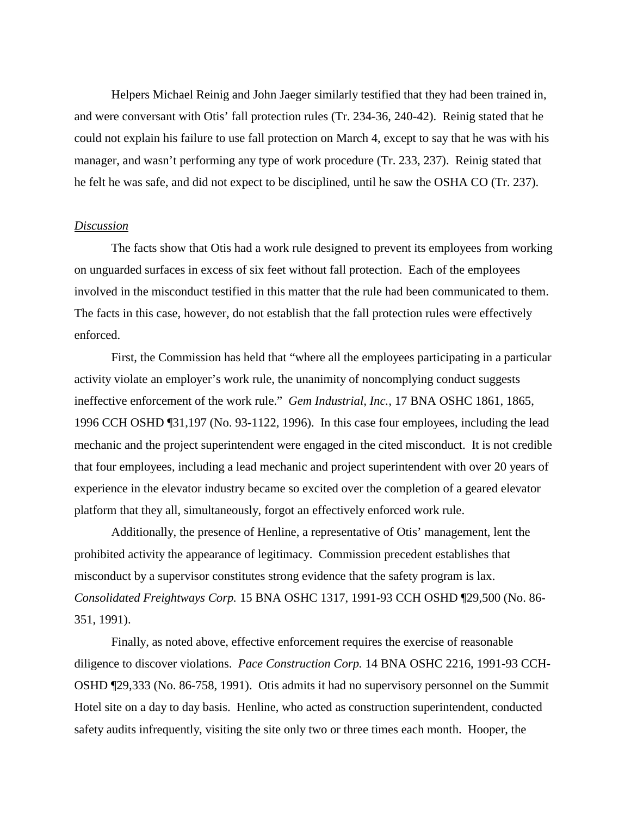Helpers Michael Reinig and John Jaeger similarly testified that they had been trained in, and were conversant with Otis' fall protection rules (Tr. 234-36, 240-42). Reinig stated that he could not explain his failure to use fall protection on March 4, except to say that he was with his manager, and wasn't performing any type of work procedure (Tr. 233, 237). Reinig stated that he felt he was safe, and did not expect to be disciplined, until he saw the OSHA CO (Tr. 237).

# *Discussion*

The facts show that Otis had a work rule designed to prevent its employees from working on unguarded surfaces in excess of six feet without fall protection. Each of the employees involved in the misconduct testified in this matter that the rule had been communicated to them. The facts in this case, however, do not establish that the fall protection rules were effectively enforced.

First, the Commission has held that "where all the employees participating in a particular activity violate an employer's work rule, the unanimity of noncomplying conduct suggests ineffective enforcement of the work rule." *Gem Industrial, Inc.,* 17 BNA OSHC 1861, 1865, 1996 CCH OSHD ¶31,197 (No. 93-1122, 1996). In this case four employees, including the lead mechanic and the project superintendent were engaged in the cited misconduct. It is not credible that four employees, including a lead mechanic and project superintendent with over 20 years of experience in the elevator industry became so excited over the completion of a geared elevator platform that they all, simultaneously, forgot an effectively enforced work rule.

Additionally, the presence of Henline, a representative of Otis' management, lent the prohibited activity the appearance of legitimacy. Commission precedent establishes that misconduct by a supervisor constitutes strong evidence that the safety program is lax. *Consolidated Freightways Corp.* 15 BNA OSHC 1317, 1991-93 CCH OSHD ¶29,500 (No. 86- 351, 1991).

Finally, as noted above, effective enforcement requires the exercise of reasonable diligence to discover violations. *Pace Construction Corp.* 14 BNA OSHC 2216, 1991-93 CCH-OSHD ¶29,333 (No. 86-758, 1991). Otis admits it had no supervisory personnel on the Summit Hotel site on a day to day basis. Henline, who acted as construction superintendent, conducted safety audits infrequently, visiting the site only two or three times each month. Hooper, the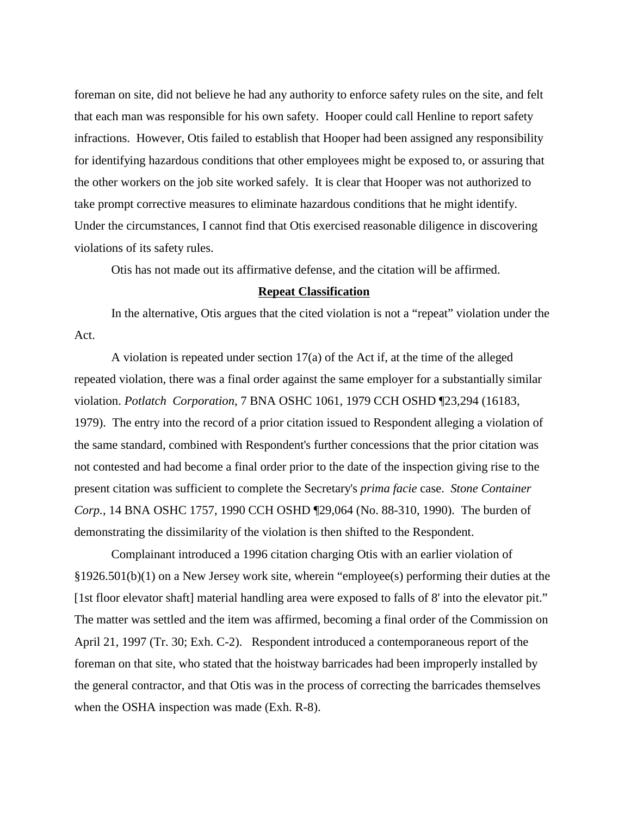foreman on site, did not believe he had any authority to enforce safety rules on the site, and felt that each man was responsible for his own safety. Hooper could call Henline to report safety infractions. However, Otis failed to establish that Hooper had been assigned any responsibility for identifying hazardous conditions that other employees might be exposed to, or assuring that the other workers on the job site worked safely. It is clear that Hooper was not authorized to take prompt corrective measures to eliminate hazardous conditions that he might identify. Under the circumstances, I cannot find that Otis exercised reasonable diligence in discovering violations of its safety rules.

Otis has not made out its affirmative defense, and the citation will be affirmed.

# **Repeat Classification**

In the alternative, Otis argues that the cited violation is not a "repeat" violation under the Act.

A violation is repeated under section 17(a) of the Act if, at the time of the alleged repeated violation, there was a final order against the same employer for a substantially similar violation. *Potlatch Corporation*, 7 BNA OSHC 1061, 1979 CCH OSHD ¶23,294 (16183, 1979). The entry into the record of a prior citation issued to Respondent alleging a violation of the same standard, combined with Respondent's further concessions that the prior citation was not contested and had become a final order prior to the date of the inspection giving rise to the present citation was sufficient to complete the Secretary's *prima facie* case. *Stone Container Corp.*, 14 BNA OSHC 1757, 1990 CCH OSHD ¶29,064 (No. 88-310, 1990). The burden of demonstrating the dissimilarity of the violation is then shifted to the Respondent.

Complainant introduced a 1996 citation charging Otis with an earlier violation of §1926.501(b)(1) on a New Jersey work site, wherein "employee(s) performing their duties at the [1st floor elevator shaft] material handling area were exposed to falls of 8' into the elevator pit." The matter was settled and the item was affirmed, becoming a final order of the Commission on April 21, 1997 (Tr. 30; Exh. C-2). Respondent introduced a contemporaneous report of the foreman on that site, who stated that the hoistway barricades had been improperly installed by the general contractor, and that Otis was in the process of correcting the barricades themselves when the OSHA inspection was made (Exh. R-8).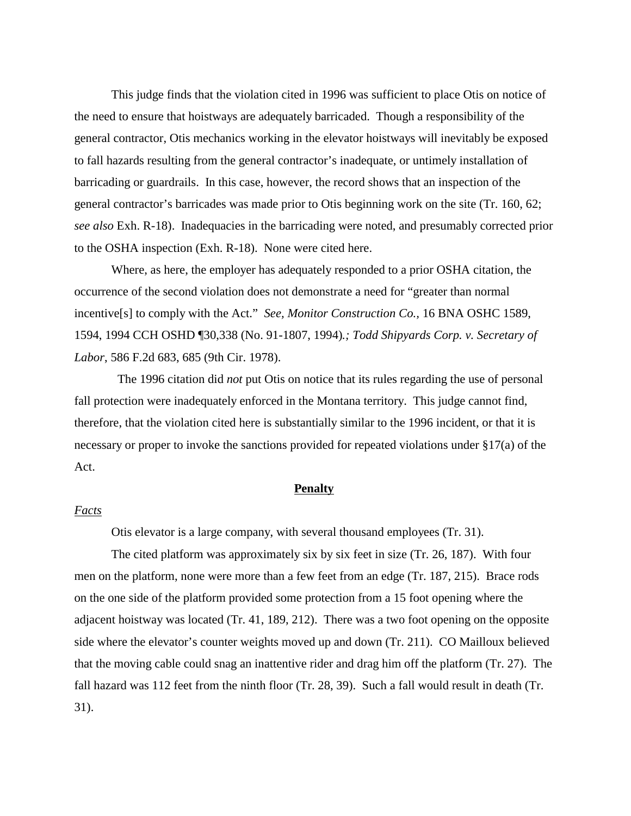This judge finds that the violation cited in 1996 was sufficient to place Otis on notice of the need to ensure that hoistways are adequately barricaded. Though a responsibility of the general contractor, Otis mechanics working in the elevator hoistways will inevitably be exposed to fall hazards resulting from the general contractor's inadequate, or untimely installation of barricading or guardrails. In this case, however, the record shows that an inspection of the general contractor's barricades was made prior to Otis beginning work on the site (Tr. 160, 62; *see also* Exh. R-18). Inadequacies in the barricading were noted, and presumably corrected prior to the OSHA inspection (Exh. R-18). None were cited here.

 Where, as here, the employer has adequately responded to a prior OSHA citation, the occurrence of the second violation does not demonstrate a need for "greater than normal incentive[s] to comply with the Act." *See, Monitor Construction Co.,* 16 BNA OSHC 1589, 1594, 1994 CCH OSHD ¶30,338 (No. 91-1807, 1994)*.; Todd Shipyards Corp. v. Secretary of Labor*, 586 F.2d 683, 685 (9th Cir. 1978).

 The 1996 citation did *not* put Otis on notice that its rules regarding the use of personal fall protection were inadequately enforced in the Montana territory. This judge cannot find, therefore, that the violation cited here is substantially similar to the 1996 incident, or that it is necessary or proper to invoke the sanctions provided for repeated violations under §17(a) of the Act.

#### **Penalty**

#### *Facts*

Otis elevator is a large company, with several thousand employees (Tr. 31).

The cited platform was approximately six by six feet in size (Tr. 26, 187). With four men on the platform, none were more than a few feet from an edge (Tr. 187, 215). Brace rods on the one side of the platform provided some protection from a 15 foot opening where the adjacent hoistway was located (Tr. 41, 189, 212). There was a two foot opening on the opposite side where the elevator's counter weights moved up and down (Tr. 211). CO Mailloux believed that the moving cable could snag an inattentive rider and drag him off the platform (Tr. 27). The fall hazard was 112 feet from the ninth floor (Tr. 28, 39). Such a fall would result in death (Tr. 31).